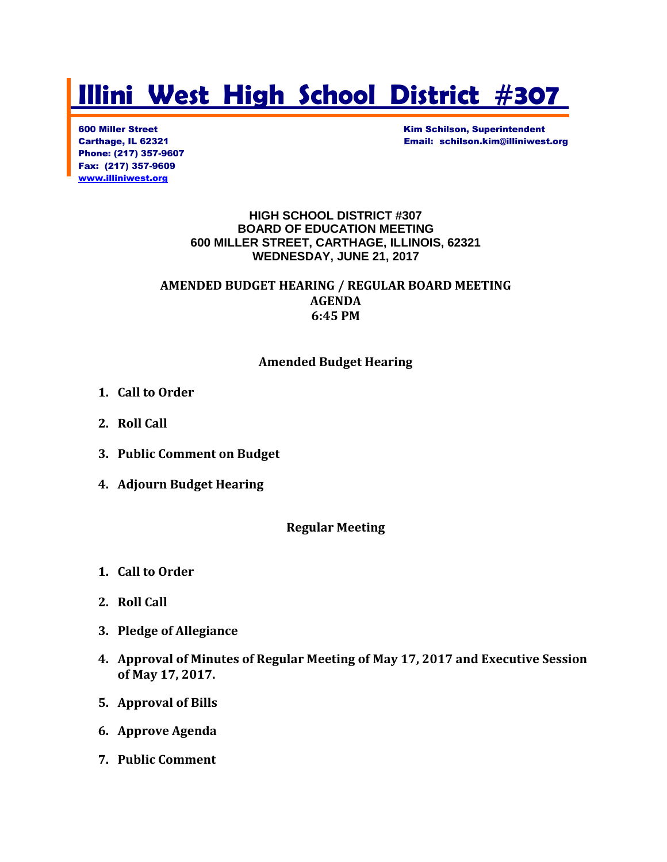# **Illini West High School District #307**

Phone: (217) 357-9607 Fax: (217) 357-9609 [www.illiniwest.org](http://www.illiniwest.org/)

**600 Miller Street Kim Schilson, Superintendent** Carthage, IL 62321 Email: schilson.kim@illiniwest.org

#### **HIGH SCHOOL DISTRICT #307 BOARD OF EDUCATION MEETING 600 MILLER STREET, CARTHAGE, ILLINOIS, 62321 WEDNESDAY, JUNE 21, 2017**

#### **AMENDED BUDGET HEARING / REGULAR BOARD MEETING AGENDA 6:45 PM**

## **Amended Budget Hearing**

- **1. Call to Order**
- **2. Roll Call**
- **3. Public Comment on Budget**
- **4. Adjourn Budget Hearing**

#### **Regular Meeting**

- **1. Call to Order**
- **2. Roll Call**
- **3. Pledge of Allegiance**
- **4. Approval of Minutes of Regular Meeting of May 17, 2017 and Executive Session of May 17, 2017.**
- **5. Approval of Bills**
- **6. Approve Agenda**
- **7. Public Comment**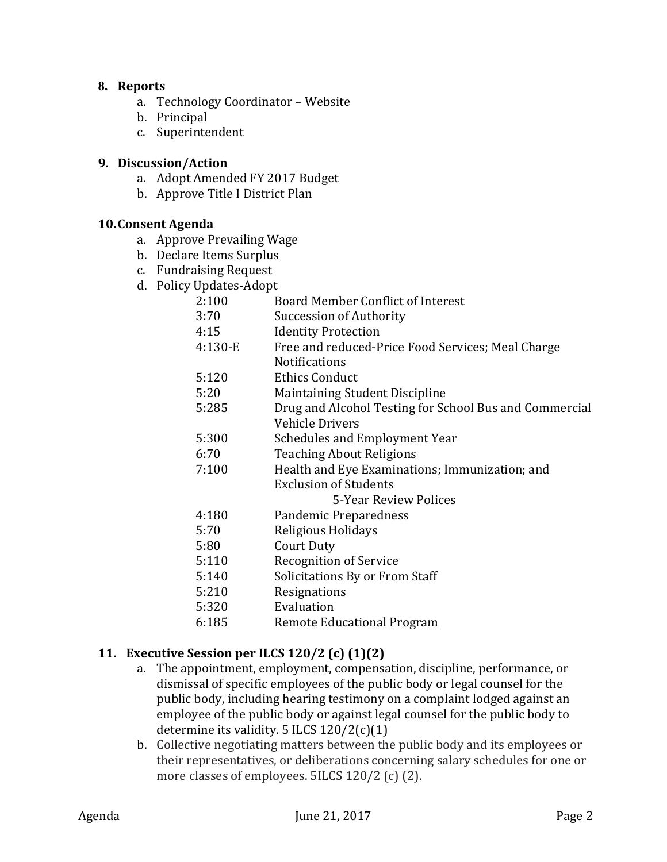#### **8. Reports**

- a. Technology Coordinator Website
- b. Principal
- c. Superintendent

#### **9. Discussion/Action**

- a. Adopt Amended FY 2017 Budget
- b. Approve Title I District Plan

#### **10.Consent Agenda**

- a. Approve Prevailing Wage
- b. Declare Items Surplus
- c. Fundraising Request
- d. Policy Updates-Adopt
	- 2:100 Board Member Conflict of Interest
	- 3:70 Succession of Authority
	- 4:15 Identity Protection
	- 4:130-E Free and reduced-Price Food Services; Meal Charge Notifications
	- 5:120 Ethics Conduct
	- 5:20 Maintaining Student Discipline
	- 5:285 Drug and Alcohol Testing for School Bus and Commercial Vehicle Drivers
	- 5:300 Schedules and Employment Year
	- 6:70 Teaching About Religions
	- 7:100 Health and Eye Examinations; Immunization; and Exclusion of Students

5-Year Review Polices

- 4:180 Pandemic Preparedness
- 5:70 Religious Holidays
- 5:80 Court Duty
- 5:110 Recognition of Service
- 5:140 Solicitations By or From Staff
- 5:210 Resignations
- 5:320 Evaluation
- 6:185 Remote Educational Program

## **11. Executive Session per ILCS 120/2 (c) (1)(2)**

- a. The appointment, employment, compensation, discipline, performance, or dismissal of specific employees of the public body or legal counsel for the public body, including hearing testimony on a complaint lodged against an employee of the public body or against legal counsel for the public body to determine its validity. 5 ILCS 120/2(c)(1)
- b. Collective negotiating matters between the public body and its employees or their representatives, or deliberations concerning salary schedules for one or more classes of employees. 5ILCS 120/2 (c) (2).